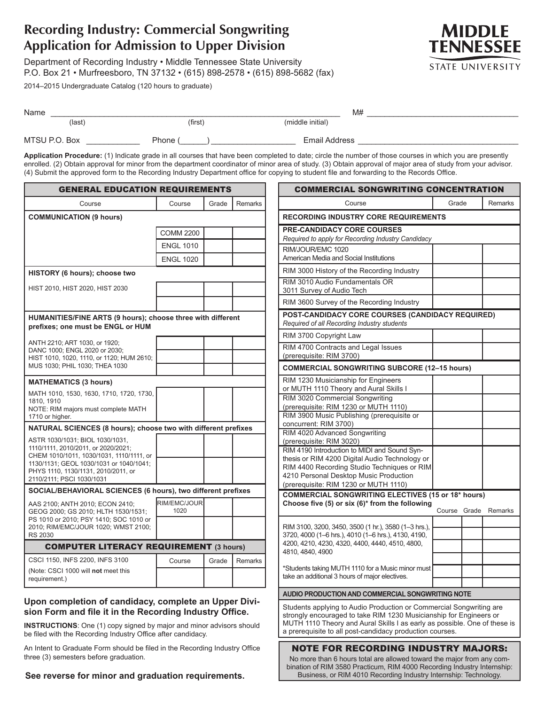# **Recording Industry: Commercial Songwriting Application for Admission to Upper Division**

Department of Recording Industry • Middle Tennessee State University P.O. Box 21 • Murfreesboro, TN 37132 • (615) 898-2578 • (615) 898-5682 (fax)

2014–2015 Undergraduate Catalog (120 hours to graduate)



| Name          |         | M#               |  |
|---------------|---------|------------------|--|
| $last)$       | (first) | (middle initial) |  |
| MTSU P.O. Box | Phone ( | Email Address    |  |

**Application Procedure:** (1) Indicate grade in all courses that have been completed to date; circle the number of those courses in which you are presently enrolled. (2) Obtain approval for minor from the department coordinator of minor area of study. (3) Obtain approval of major area of study from your advisor. (4) Submit the approved form to the Recording Industry Department office for copying to student file and forwarding to the Records Office.

| <b>GENERAL EDUCATION REQUIREMENTS</b>                                                            |                      |       | <b>C</b> |                            |
|--------------------------------------------------------------------------------------------------|----------------------|-------|----------|----------------------------|
| Course                                                                                           | Course               | Grade | Remarks  |                            |
| <b>COMMUNICATION (9 hours)</b>                                                                   |                      |       |          | <b>RECO</b>                |
|                                                                                                  | <b>COMM 2200</b>     |       |          | PRE-C                      |
|                                                                                                  | <b>ENGL 1010</b>     |       |          | Requin<br>RIM/JC           |
|                                                                                                  | <b>ENGL 1020</b>     |       |          | Americ                     |
| HISTORY (6 hours); choose two                                                                    |                      |       |          | <b>RIM 30</b>              |
| HIST 2010, HIST 2020, HIST 2030                                                                  |                      |       |          | <b>RIM 30</b>              |
|                                                                                                  |                      |       |          | 3011 S<br><b>RIM 30</b>    |
|                                                                                                  |                      |       |          | <b>POST</b>                |
| HUMANITIES/FINE ARTS (9 hours); choose three with different<br>prefixes; one must be ENGL or HUM |                      |       |          | Requin                     |
|                                                                                                  |                      |       |          | RIM <sub>3</sub>           |
| ANTH 2210; ART 1030, or 1920;<br>DANC 1000; ENGL 2020 or 2030;                                   |                      |       |          | RIM <sub>4</sub>           |
| HIST 1010, 1020, 1110, or 1120; HUM 2610;<br>MUS 1030; PHIL 1030; THEA 1030                      |                      |       |          | (prere                     |
|                                                                                                  |                      |       |          | <b>COMN</b>                |
| <b>MATHEMATICS (3 hours)</b>                                                                     |                      |       |          | <b>RIM 12</b><br>or MU     |
| MATH 1010, 1530, 1630, 1710, 1720, 1730,<br>1810, 1910                                           |                      |       |          | <b>RIM 30</b>              |
| NOTE: RIM majors must complete MATH                                                              |                      |       |          | (prere                     |
| 1710 or higher.<br>NATURAL SCIENCES (8 hours); choose two with different prefixes                |                      |       |          | <b>RIM 39</b><br>concu     |
|                                                                                                  |                      |       |          | <b>RIM 40</b>              |
| ASTR 1030/1031; BIOL 1030/1031,<br>1110/1111, 2010/2011, or 2020/2021;                           |                      |       |          | (prere<br>RIM <sub>4</sub> |
| CHEM 1010/1011, 1030/1031, 1110/1111, or<br>1130/1131; GEOL 1030/1031 or 1040/1041;              |                      |       |          | thesis                     |
| PHYS 1110, 1130/1131, 2010/2011, or                                                              |                      |       |          | <b>RIM 44</b><br>4210 F    |
| 2110/2111; PSCI 1030/1031                                                                        |                      |       |          | (prere                     |
| SOCIAL/BEHAVIORAL SCIENCES (6 hours), two different prefixes                                     |                      |       |          | <b>COMN</b>                |
| AAS 2100; ANTH 2010; ECON 2410;<br>GEOG 2000; GS 2010; HLTH 1530/1531;                           | RIM/EMC/JOUR<br>1020 |       |          | Choos                      |
| PS 1010 or 2010; PSY 1410; SOC 1010 or                                                           |                      |       |          | <b>RIM 31</b>              |
| 2010; RIM/EMC/JOUR 1020; WMST 2100;<br><b>RS 2030</b>                                            |                      |       |          | 3720, 4                    |
| <b>COMPUTER LITERACY REQUIREMENT (3 hours)</b>                                                   |                      |       |          | 4200, 4<br>4810, 4         |
| CSCI 1150, INFS 2200, INFS 3100                                                                  | Course               | Grade | Remarks  |                            |
| (Note: CSCI 1000 will not meet this<br>requirement.)                                             |                      |       |          | *Stude<br>take ar          |
|                                                                                                  |                      |       |          |                            |

## **Upon completion of candidacy, complete an Upper Division Form and file it in the Recording Industry Office.**

**INSTRUCTIONS**: One (1) copy signed by major and minor advisors should be filed with the Recording Industry Office after candidacy.

An Intent to Graduate Form should be filed in the Recording Industry Office three (3) semesters before graduation.

**See reverse for minor and graduation requirements.**

| <b>COMMERCIAL SONGWRITING CONCENTRATION</b>                                                                                                                                                                                                                                        |        |       |         |
|------------------------------------------------------------------------------------------------------------------------------------------------------------------------------------------------------------------------------------------------------------------------------------|--------|-------|---------|
| Course                                                                                                                                                                                                                                                                             | Grade  |       | Remarks |
| <b>RECORDING INDUSTRY CORE REQUIREMENTS</b>                                                                                                                                                                                                                                        |        |       |         |
| <b>PRE-CANDIDACY CORE COURSES</b><br>Required to apply for Recording Industry Candidacy                                                                                                                                                                                            |        |       |         |
| RIM/JOUR/EMC 1020<br>American Media and Social Institutions                                                                                                                                                                                                                        |        |       |         |
| RIM 3000 History of the Recording Industry                                                                                                                                                                                                                                         |        |       |         |
| RIM 3010 Audio Fundamentals OR<br>3011 Survey of Audio Tech                                                                                                                                                                                                                        |        |       |         |
| RIM 3600 Survey of the Recording Industry                                                                                                                                                                                                                                          |        |       |         |
| POST-CANDIDACY CORE COURSES (CANDIDACY REQUIRED)<br>Required of all Recording Industry students                                                                                                                                                                                    |        |       |         |
| RIM 3700 Copyright Law                                                                                                                                                                                                                                                             |        |       |         |
| RIM 4700 Contracts and Legal Issues<br>(prerequisite: RIM 3700)                                                                                                                                                                                                                    |        |       |         |
| <b>COMMERCIAL SONGWRITING SUBCORE (12-15 hours)</b>                                                                                                                                                                                                                                |        |       |         |
| RIM 1230 Musicianship for Engineers<br>or MUTH 1110 Theory and Aural Skills I                                                                                                                                                                                                      |        |       |         |
| RIM 3020 Commercial Songwriting<br>(prerequisite: RIM 1230 or MUTH 1110)                                                                                                                                                                                                           |        |       |         |
| RIM 3900 Music Publishing (prerequisite or<br>concurrent: RIM 3700)                                                                                                                                                                                                                |        |       |         |
| RIM 4020 Advanced Songwriting<br>(prerequisite: RIM 3020)                                                                                                                                                                                                                          |        |       |         |
| RIM 4190 Introduction to MIDI and Sound Syn-<br>thesis or RIM 4200 Digital Audio Technology or<br>RIM 4400 Recording Studio Techniques or RIM                                                                                                                                      |        |       |         |
| 4210 Personal Desktop Music Production<br>(prerequisite: RIM 1230 or MUTH 1110)                                                                                                                                                                                                    |        |       |         |
| <b>COMMERCIAL SONGWRITING ELECTIVES (15 or 18* hours)</b>                                                                                                                                                                                                                          |        |       |         |
| Choose five (5) or six (6)* from the following                                                                                                                                                                                                                                     | Course | Grade | Remarks |
|                                                                                                                                                                                                                                                                                    |        |       |         |
| RIM 3100, 3200, 3450, 3500 (1 hr.), 3580 (1-3 hrs.),<br>3720, 4000 (1-6 hrs.), 4010 (1-6 hrs.), 4130, 4190,                                                                                                                                                                        |        |       |         |
| 4200, 4210, 4230, 4320, 4400, 4440, 4510, 4800,                                                                                                                                                                                                                                    |        |       |         |
| 4810, 4840, 4900                                                                                                                                                                                                                                                                   |        |       |         |
| *Students taking MUTH 1110 for a Music minor must                                                                                                                                                                                                                                  |        |       |         |
| take an additional 3 hours of major electives.                                                                                                                                                                                                                                     |        |       |         |
| AUDIO PRODUCTION AND COMMERCIAL SONGWRITING NOTE                                                                                                                                                                                                                                   |        |       |         |
| Students applying to Audio Production or Commercial Songwriting are<br>strongly encouraged to take RIM 1230 Musicianship for Engineers or<br>MUTH 1110 Theory and Aural Skills I as early as possible. One of these is<br>a prerequisite to all post-candidacy production courses. |        |       |         |
| <b>NOTE FOR RECORDING INDUSTRY MAJORS:</b>                                                                                                                                                                                                                                         |        |       |         |
| No more than 6 hours total are allowed toward the major from any com-                                                                                                                                                                                                              |        |       |         |

No more than 6 hours total are allowed toward the major from any combination of RIM 3580 Practicum, RIM 4000 Recording Industry Internship: Business, or RIM 4010 Recording Industry Internship: Technology.